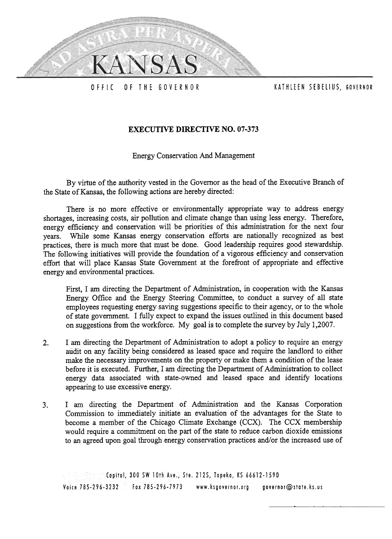

OFFIC OF THE GOVERNOR KATHLEEN SEBELIUS, GOVERNOR

## EXECUTIVE DIRECTIVE NO.07-373

Energy Conservation And Management

By virtue of the authority vested in the Governor as the head of the Executive Branch of the State of Kansas, the following actions are hereby directed:

There is no more effective or environmentally appropriate way to address energy shortages, increasing costs, air pollution and climate change than using less energy. Therefore, energy efficiency and conservation will be priorities of this administration for the next four years. While some Kansas energy conservation efforts are nationally recognized as best practices, there is much more that must be done. Good leadership requires good stewardship. The following initiatives will provide the foundation of a vigorous efficiency and conservation effort that will place Kansas State Government at the forefront of appropriate and effective energy and environmental practices.

First, I am directing the Department of Administration, in cooperation with the Kansas Energy Office and the Energy Steering Committee, to conduct a survey of all state employees requesting energy saving suggestions specific to their agency, or to the whole of state government. I fully expect to expand the issues outlined in this document based on suggestions from the workforce. My goal is to complete the survey by July 1,2007.

- I am directing the Department of Administration to adopt a policy to require an energy audit on any facility being considered as leased space and require the landlord to either make the necessary improvements on the property or make them a condition of the lease before it is executed. Further, I am directing the Department of Administration to collect energy data associated with state-owned and leased space and identify locations appearing to use excessive energy. 2.
- I am directing the Department of Administration and the Kansas Corporation Commission to immediately initiate an evaluation of the advantages for the State to become a member of the Chicago Climate Exchange (CCX). The CCX membership would require a commitment on the part of the state to reduce carbon dioxide emissions to an agreed upon goal through energy conservation practices and/or the increased use of 3.

Capitol, 300 5W lOth Ave., 5te. 2125, Topeka, K5 66612-1590 Valce785-296-3232 Fax 785-296-7913 www.ksgovernar.org governor@state.ks.us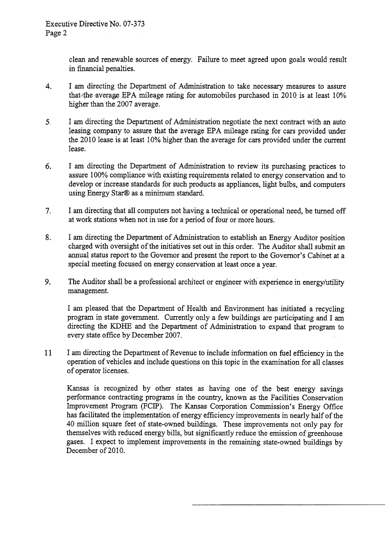clean and renewable sources of energy. Failure to meet agreed upon goals would result in financial penalties.

- 4. I am directing the Department of Administration to take necessary measures to assure that, the average EPA mileage rating for automobiles purchased in 2010 is at least  $10\%$ higher than the 2007 average.
- 5, I am directing the Department of Administration negotiate the next contract with an auto leasing company to assure that the average EPA mileage rating for cars provided under the 2010 lease is at least 10% higher than the average for cars provided under the current lease.
- 6. I am directing the Department of Administration to review its purchasing practices to assure 100% compliance with existing requirements related to energy conservation and to develop or increase standards for such products as appliances, light bulbs, and computers using Energy star@ as a minimum standard.
- 7. I am directing that all computers not having a technical or operational need, be turned off at work stations when not in use for a period of four or more hours.
- 8. I am directing the Department of Administration to establish an Energy Auditor position charged with oversight of the initiatives set out in this order. The Auditor shall submit an annual status report to the Governor and present the report to the Governor's Cabinet at a special meeting focused on energy conservation at least once a year.
- 9. The Auditor shall be a professional architect or engineer with experience in energy/utility management.

I am pleased that the Department of Health and Environment has initiated a recycling program in state government. Currently only a few buildings are participating and I am directing the KDHE and the Department of Administration to expand that program to every state office by December 2007.

11 I am directing the Department of Revenue to include information on fuel efficiency in the operation of vehicles and include questions on this topic in the examination for all classes of operator licenses.

Kansas is recognized by other states as having one of the best energy savings performance contracting programs in the country, known as the Facilities Conservation Improvement Program (FCIP). The Kansas Corporation Commission's Energy Office has facilitated the implementation of energy efficiency improvements in nearly half of the 40 million square feet of state-owned buildings. These improvements not only pay for themselves with reduced energy bills, but significantly reduce the emission of greenhouse gases. I expect to implement improvements in the remaining state-owned buildings by December of 2010.